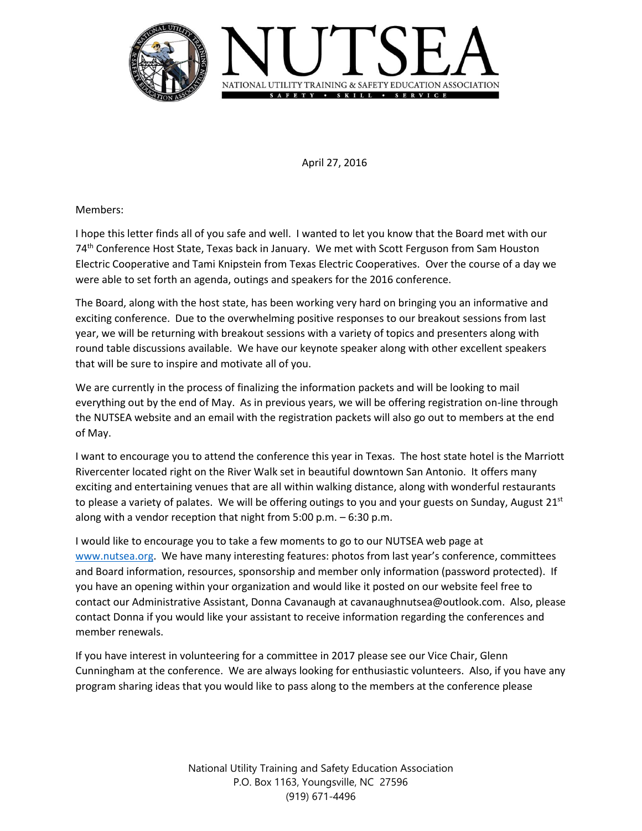

April 27, 2016

Members:

I hope this letter finds all of you safe and well. I wanted to let you know that the Board met with our 74<sup>th</sup> Conference Host State, Texas back in January. We met with Scott Ferguson from Sam Houston Electric Cooperative and Tami Knipstein from Texas Electric Cooperatives. Over the course of a day we were able to set forth an agenda, outings and speakers for the 2016 conference.

The Board, along with the host state, has been working very hard on bringing you an informative and exciting conference. Due to the overwhelming positive responses to our breakout sessions from last year, we will be returning with breakout sessions with a variety of topics and presenters along with round table discussions available. We have our keynote speaker along with other excellent speakers that will be sure to inspire and motivate all of you.

We are currently in the process of finalizing the information packets and will be looking to mail everything out by the end of May. As in previous years, we will be offering registration on-line through the NUTSEA website and an email with the registration packets will also go out to members at the end of May.

I want to encourage you to attend the conference this year in Texas. The host state hotel is the Marriott Rivercenter located right on the River Walk set in beautiful downtown San Antonio. It offers many exciting and entertaining venues that are all within walking distance, along with wonderful restaurants to please a variety of palates. We will be offering outings to you and your guests on Sunday, August  $21<sup>st</sup>$ along with a vendor reception that night from 5:00 p.m. – 6:30 p.m.

I would like to encourage you to take a few moments to go to our NUTSEA web page at [www.nutsea.org.](http://www.nutsea.org/) We have many interesting features: photos from last year's conference, committees and Board information, resources, sponsorship and member only information (password protected). If you have an opening within your organization and would like it posted on our website feel free to contact our Administrative Assistant, Donna Cavanaugh at cavanaughnutsea@outlook.com. Also, please contact Donna if you would like your assistant to receive information regarding the conferences and member renewals.

If you have interest in volunteering for a committee in 2017 please see our Vice Chair, Glenn Cunningham at the conference. We are always looking for enthusiastic volunteers. Also, if you have any program sharing ideas that you would like to pass along to the members at the conference please

> National Utility Training and Safety Education Association P.O. Box 1163, Youngsville, NC 27596 (919) 671-4496